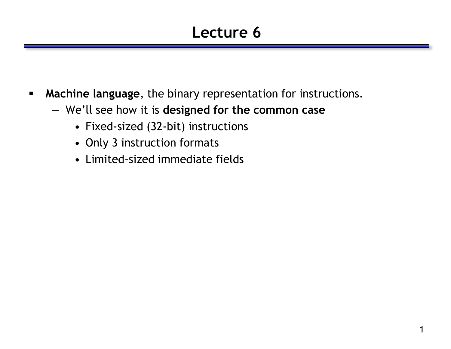### **Lecture 6**

- **Machine language**, the binary representation for instructions.
	- We'll see how it is **designed for the common case**
		- Fixed-sized (32-bit) instructions
		- Only 3 instruction formats
		- Limited-sized immediate fields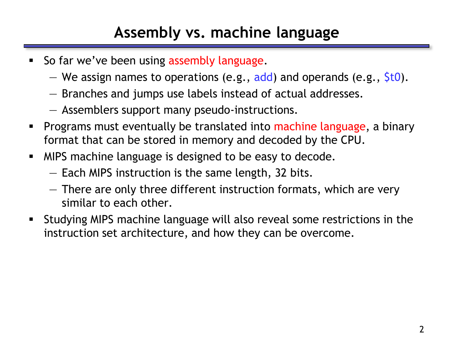#### **Assembly vs. machine language**

- So far we've been using assembly language.
	- We assign names to operations (e.g.,  $\overline{add}$ ) and operands (e.g.,  $\overline{5}$ t0).
	- Branches and jumps use labels instead of actual addresses.
	- Assemblers support many pseudo-instructions.
- **Programs must eventually be translated into machine language, a binary** format that can be stored in memory and decoded by the CPU.
- **MIPS machine language is designed to be easy to decode.** 
	- Each MIPS instruction is the same length, 32 bits.
	- There are only three different instruction formats, which are very similar to each other.
- Studying MIPS machine language will also reveal some restrictions in the instruction set architecture, and how they can be overcome.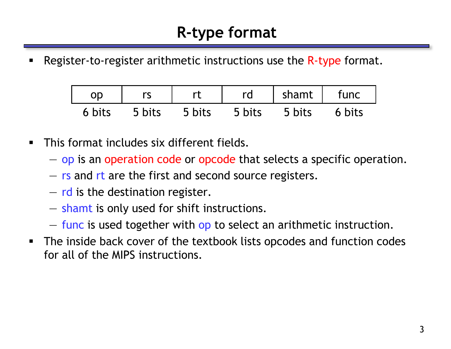Register-to-register arithmetic instructions use the R-type format.

| <b>OD</b> |        |        | rd     | shamt  | func   |
|-----------|--------|--------|--------|--------|--------|
| 6 bits    | 5 bits | 5 bits | 5 bits | 5 bits | 6 bits |

- **This format includes six different fields.** 
	- op is an operation code or opcode that selects a specific operation.
	- rs and rt are the first and second source registers.
	- $-$  rd is the destination register.
	- shamt is only used for shift instructions.
	- func is used together with op to select an arithmetic instruction.
- The inside back cover of the textbook lists opcodes and function codes for all of the MIPS instructions.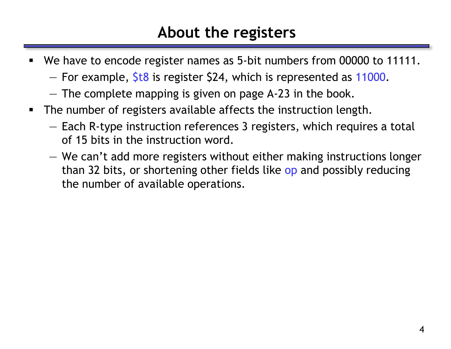#### **About the registers**

- We have to encode register names as 5-bit numbers from 00000 to 11111.
	- $-$  For example,  $$t8$  is register \$24, which is represented as 11000.
	- The complete mapping is given on page A-23 in the book.
- The number of registers available affects the instruction length.
	- Each R-type instruction references 3 registers, which requires a total of 15 bits in the instruction word.
	- We can't add more registers without either making instructions longer than 32 bits, or shortening other fields like op and possibly reducing the number of available operations.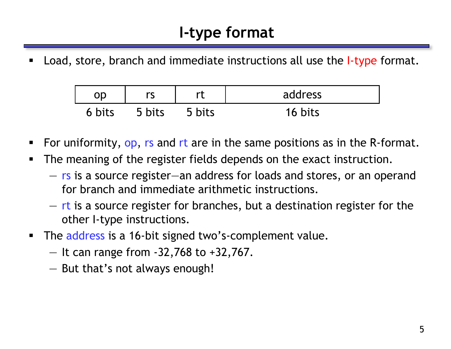Load, store, branch and immediate instructions all use the *I-type* format.

| ОD     |        | rt     | address |
|--------|--------|--------|---------|
| 6 bits | 5 hits | 5 bits | 16 bits |

- For uniformity, op, rs and rt are in the same positions as in the R-format.
- **The meaning of the register fields depends on the exact instruction.** 
	- rs is a source register—an address for loads and stores, or an operand for branch and immediate arithmetic instructions.
	- rt is a source register for branches, but a destination register for the other I-type instructions.
- The address is a 16-bit signed two's-complement value.
	- $-$  It can range from  $-32,768$  to  $+32,767$ .
	- But that's not always enough!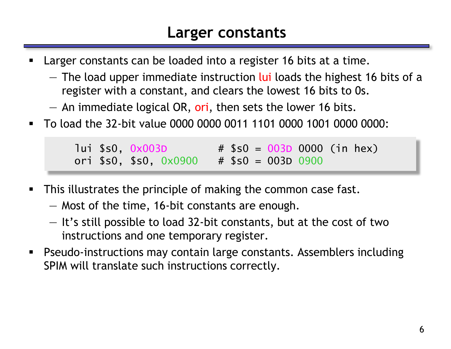#### **Larger constants**

- Larger constants can be loaded into a register 16 bits at a time.
	- $-$  The load upper immediate instruction lui loads the highest 16 bits of a register with a constant, and clears the lowest 16 bits to 0s.
	- $-$  An immediate logical OR, ori, then sets the lower 16 bits.
- To load the 32-bit value 0000 0000 0011 1101 0000 1001 0000 0000:

 $l$ ui \$s0, 0x003D  $#$  \$s0 = 003D 0000 (in hex) ori  $$s0, $s0, 0 \times 0900$  #  $$s0 = 003D 0900$ 

- **This illustrates the principle of making the common case fast.** 
	- Most of the time, 16-bit constants are enough.
	- It's still possible to load 32-bit constants, but at the cost of two instructions and one temporary register.
- Pseudo-instructions may contain large constants. Assemblers including SPIM will translate such instructions correctly.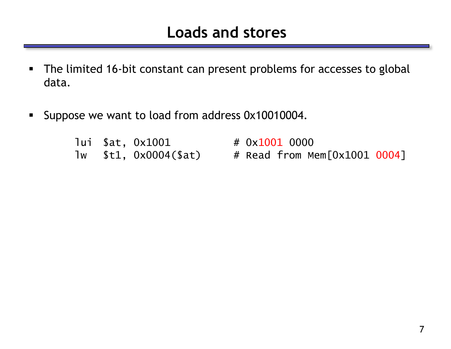- The limited 16-bit constant can present problems for accesses to global data.
- Suppose we want to load from address 0x10010004.

|  | lui \$at, 0x1001          |
|--|---------------------------|
|  | $lw$ $$t1, 0x0004 ($a t)$ |

# 0x1001 0000 # Read from Mem[0x1001 0004]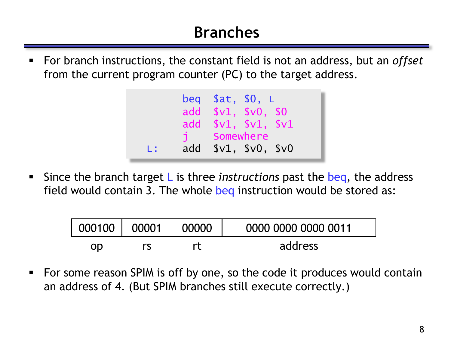### **Branches**

 For branch instructions, the constant field is not an address, but an *offset* from the current program counter (PC) to the target address.



 Since the branch target L is three *instructions* past the beq, the address field would contain 3. The whole beq instruction would be stored as:

| 000100 | 00001 | 00000 | 0000 0000 0000 0011 |
|--------|-------|-------|---------------------|
| OD     |       |       | address             |

 For some reason SPIM is off by one, so the code it produces would contain an address of 4. (But SPIM branches still execute correctly.)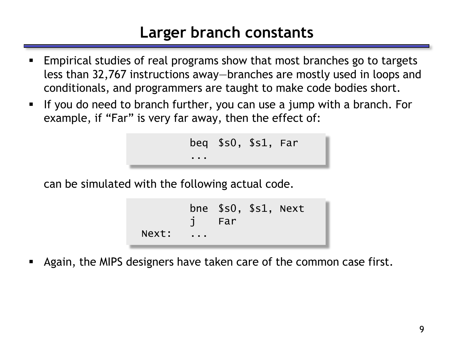#### **Larger branch constants**

- Empirical studies of real programs show that most branches go to targets less than 32,767 instructions away—branches are mostly used in loops and conditionals, and programmers are taught to make code bodies short.
- If you do need to branch further, you can use a jump with a branch. For example, if "Far" is very far away, then the effect of:

```
beq $s0, $s1, Far
...
```
can be simulated with the following actual code.

```
bne $s0, $s1, Next
             Far
Next:
```
Again, the MIPS designers have taken care of the common case first.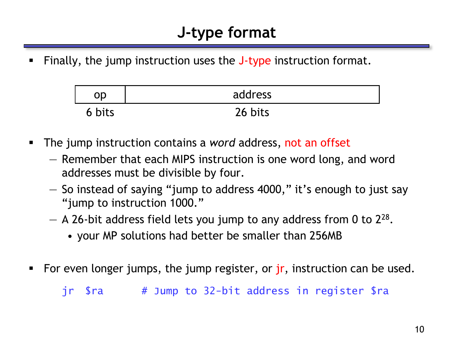#### **J-type format**

Finally, the jump instruction uses the J-type instruction format.

|        | address |
|--------|---------|
| 6 bits | 26 bits |

- The jump instruction contains a *word* address, not an offset
	- Remember that each MIPS instruction is one word long, and word addresses must be divisible by four.
	- So instead of saying "jump to address 4000," it's enough to just say "jump to instruction 1000."
	- $-$  A 26-bit address field lets you jump to any address from 0 to 2<sup>28</sup>.
		- your MP solutions had better be smaller than 256MB
- For even longer jumps, the jump register, or jr, instruction can be used.

jr \$ra # Jump to 32-bit address in register \$ra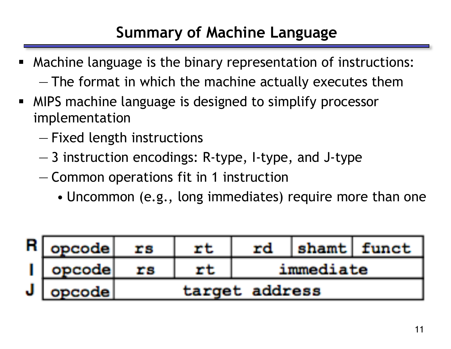### **Summary of Machine Language**

- Machine language is the binary representation of instructions: — The format in which the machine actually executes them
- **MIPS machine language is designed to simplify processor** implementation
	- Fixed length instructions
	- 3 instruction encodings: R-type, I-type, and J-type
	- Common operations fit in 1 instruction
		- Uncommon (e.g., long immediates) require more than one

|    | opcode    | T S | rd             |           | shamt   funct |
|----|-----------|-----|----------------|-----------|---------------|
|    | ' opcode: |     |                | immediate |               |
| J. | opcode    |     | target address |           |               |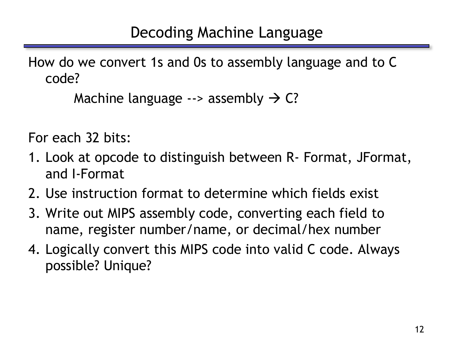How do we convert 1s and 0s to assembly language and to C code?

```
Machine language \rightarrow assembly \rightarrow C?
```
For each 32 bits:

- 1. Look at opcode to distinguish between R- Format, JFormat, and I-Format
- 2. Use instruction format to determine which fields exist
- 3. Write out MIPS assembly code, converting each field to name, register number/name, or decimal/hex number
- 4. Logically convert this MIPS code into valid C code. Always possible? Unique?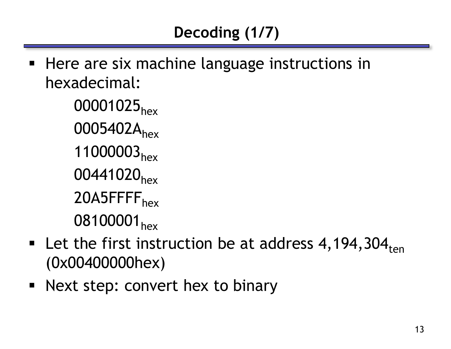■ Here are six machine language instructions in hexadecimal:

> 00001025<sub>hex</sub> 0005402A<sub>hex</sub> 11000003<sub>hex</sub> 00441020<sub>hex</sub> 20A5FFFF<sub>hex</sub> 08100001<sub>hex</sub>

- **Let the first instruction be at address 4, 194, 304**<sub>ten</sub> (0x00400000hex)
- **Next step: convert hex to binary**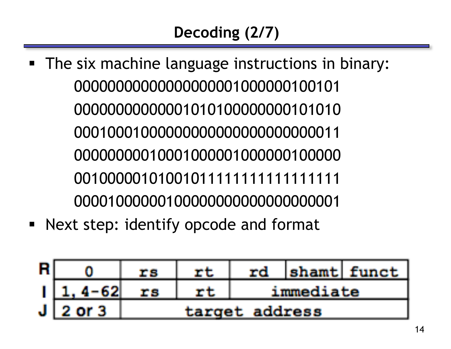- The six machine language instructions in binary:
- Next step: identify opcode and format

|   |        |    | rd             |           | shamt funct |
|---|--------|----|----------------|-----------|-------------|
|   | 4-62   | rs |                | immediate |             |
| J | 2 or 3 |    | target address |           |             |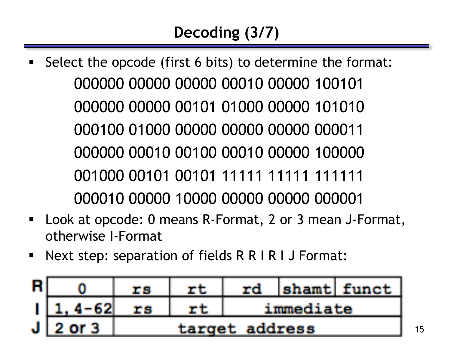- Select the opcode (first 6 bits) to determine the format: 000000 00000 00000 00010 00000 100101 000000 00000 00101 01000 00000 101010 000100 01000 00000 00000 00000 000011 000000 00010 00100 00010 00000 100000 001000 00101 00101 11111 11111 111111 000010 00000 10000 00000 00000 000001
- Look at opcode: 0 means R-Format, 2 or 3 mean J-Format, otherwise I-Format
- Next step: separation of fields R R I R I J Format:

|   |               |    | rd             |           | shamt  funct |
|---|---------------|----|----------------|-----------|--------------|
|   | $4 - 621$     | ma |                | immediate |              |
| J | <b>2 or 3</b> |    | target address |           |              |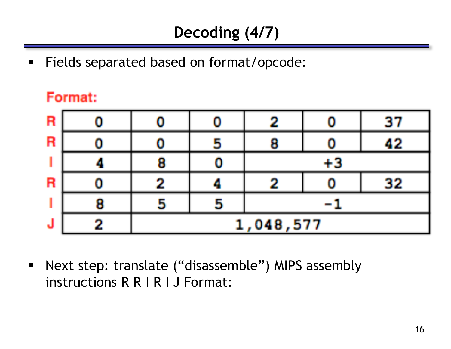Fields separated based on format/opcode:

#### Format:

| R  |   |    |          | 27 |
|----|---|----|----------|----|
| R  |   |    |          | 49 |
|    |   |    |          |    |
| Ħ  |   |    |          | 39 |
|    | 5 | H. |          |    |
| ٦J |   |    | ,048,577 |    |

 Next step: translate ("disassemble") MIPS assembly instructions R R I R I J Format: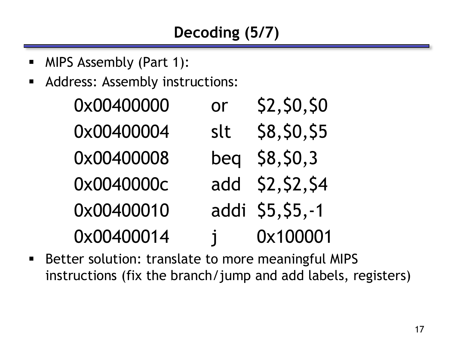- MIPS Assembly (Part 1):
- Address: Assembly instructions:

| 0x00400000 | <b>or</b>    | \$2, \$0, \$0     |
|------------|--------------|-------------------|
| 0x00400004 | slt          | \$8, \$0, \$5     |
| 0x00400008 | beg          | \$8,50,3          |
| 0x0040000c |              | add \$2, \$2, \$4 |
| 0x00400010 |              | addi \$5,\$5,-1   |
| 0x00400014 | $\mathbf{i}$ | 0x100001          |

■ Better solution: translate to more meaningful MIPS instructions (fix the branch/jump and add labels, registers)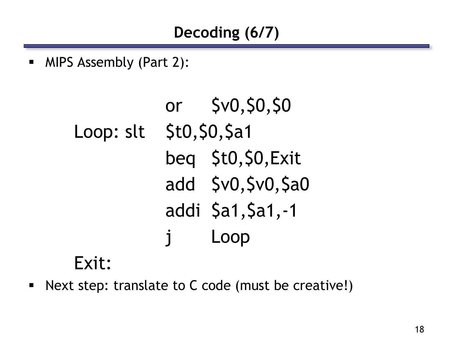MIPS Assembly (Part 2):

```
or $v0,$0,$0
Loop: slt $t0,$0,$a1
          beq $t0,$0,Exit
          add $v0,$v0,$a0
          addi $a1, $a1, -1
          j Loop
```
## Exit:

Next step: translate to C code (must be creative!)